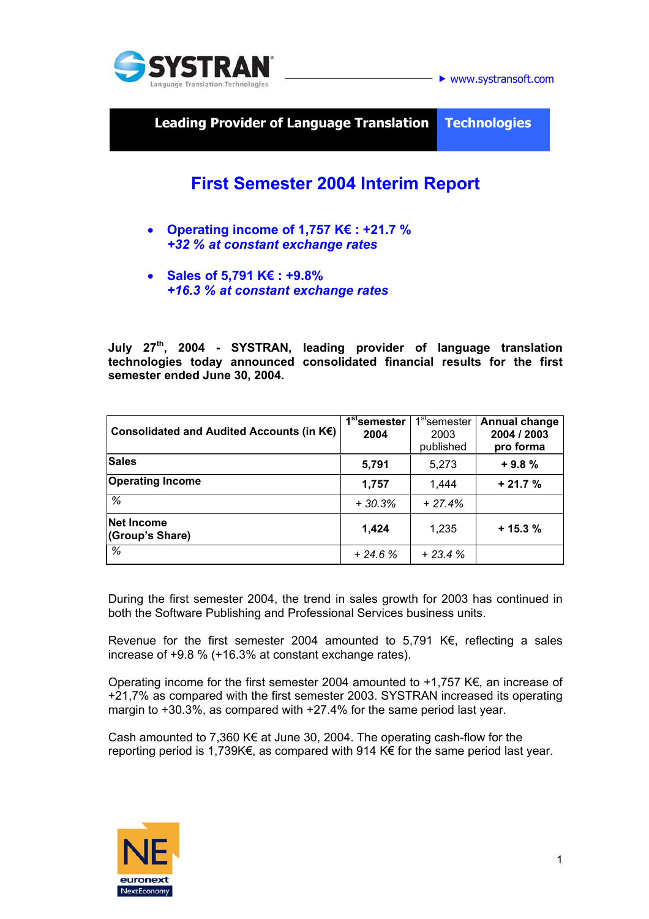

 $\blacktriangleright$  www.systransoft.com

**Leading Provider of Language Translation\_ Technologies** 

# **First Semester 2004 Interim Report**

- **Operating income of 1,757 K€ : +21.7 %**  *+32 % at constant exchange rates*
- **Sales of 5,791 K€ : +9.8%**  *+16.3 % at constant exchange rates*

**July 27th, 2004 - SYSTRAN, leading provider of language translation technologies today announced consolidated financial results for the first semester ended June 30, 2004.** 

| Consolidated and Audited Accounts (in K€) | 1 <sup>st</sup> semester<br>2004 | 1 <sup>st</sup> semester<br>2003<br>published | Annual change<br>2004 / 2003<br>pro forma |
|-------------------------------------------|----------------------------------|-----------------------------------------------|-------------------------------------------|
| <b>Sales</b>                              | 5,791                            | 5,273                                         | $+9.8%$                                   |
| <b>Operating Income</b>                   | 1,757                            | 1.444                                         | $+21.7%$                                  |
| %                                         | $+30.3%$                         | $+27.4%$                                      |                                           |
| <b>Net Income</b><br>(Group's Share)      | 1,424                            | 1,235                                         | $+15.3%$                                  |
| $\%$                                      | $+24.6%$                         | $+23.4%$                                      |                                           |

During the first semester 2004, the trend in sales growth for 2003 has continued in both the Software Publishing and Professional Services business units.

Revenue for the first semester 2004 amounted to 5,791 K€, reflecting a sales increase of +9.8 % (+16.3% at constant exchange rates).

Operating income for the first semester 2004 amounted to  $+1,757$  K $\epsilon$ , an increase of +21,7% as compared with the first semester 2003. SYSTRAN increased its operating margin to +30.3%, as compared with +27.4% for the same period last year.

Cash amounted to 7,360 K $\epsilon$  at June 30, 2004. The operating cash-flow for the reporting period is 1,739K€, as compared with 914 K€ for the same period last year.

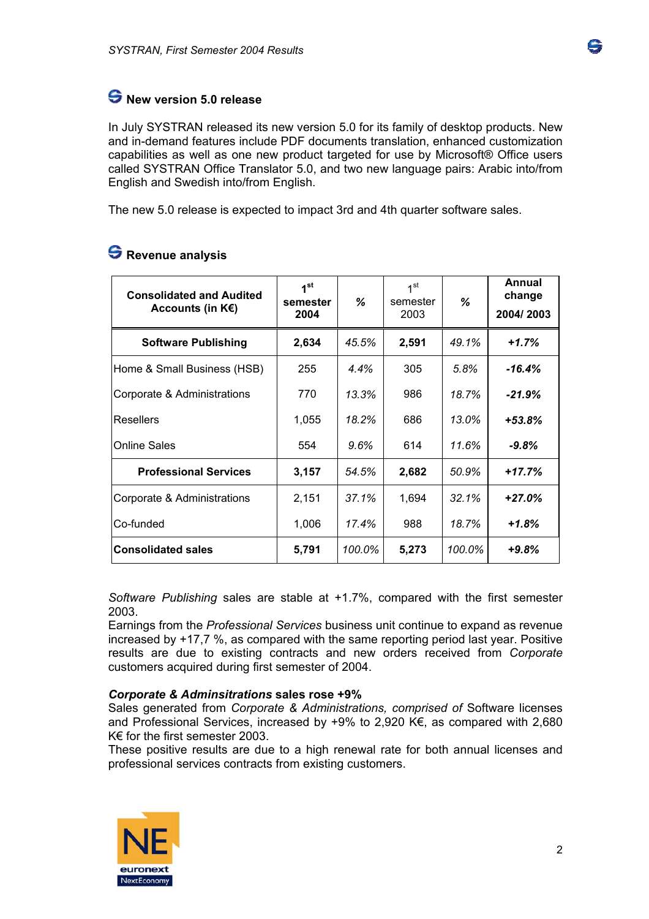## **New version 5.0 release**

In July SYSTRAN released its new version 5.0 for its family of desktop products. New and in-demand features include PDF documents translation, enhanced customization capabilities as well as one new product targeted for use by Microsoft® Office users called SYSTRAN Office Translator 5.0, and two new language pairs: Arabic into/from English and Swedish into/from English.

The new 5.0 release is expected to impact 3rd and 4th quarter software sales.

| <b>Consolidated and Audited</b><br>Accounts (in $K \in \Sigma$ ) | 1 <sup>st</sup><br>semester<br>2004 | %      | 1 <sup>st</sup><br>semester<br>2003 | ℅      | Annual<br>change<br>2004/2003 |
|------------------------------------------------------------------|-------------------------------------|--------|-------------------------------------|--------|-------------------------------|
| <b>Software Publishing</b>                                       | 2,634                               | 45.5%  | 2,591                               | 49.1%  | $+1.7%$                       |
| Home & Small Business (HSB)                                      | 255                                 | 4.4%   | 305                                 | 5.8%   | $-16.4%$                      |
| Corporate & Administrations                                      | 770                                 | 13.3%  | 986                                 | 18.7%  | $-21.9%$                      |
| <b>Resellers</b>                                                 | 1,055                               | 18.2%  | 686                                 | 13.0%  | $+53.8%$                      |
| <b>Online Sales</b>                                              | 554                                 | 9.6%   | 614                                 | 11.6%  | -9.8%                         |
| <b>Professional Services</b>                                     | 3,157                               | 54.5%  | 2,682                               | 50.9%  | $+17.7%$                      |
| Corporate & Administrations                                      | 2,151                               | 37.1%  | 1,694                               | 32.1%  | $+27.0%$                      |
| Co-funded                                                        | 1,006                               | 17.4%  | 988                                 | 18.7%  | +1.8%                         |
| <b>Consolidated sales</b>                                        | 5,791                               | 100.0% | 5,273                               | 100.0% | $+9.8%$                       |

## **Revenue analysis**

*Software Publishing* sales are stable at +1.7%, compared with the first semester 2003.

Earnings from the *Professional Services* business unit continue to expand as revenue increased by +17,7 %, as compared with the same reporting period last year. Positive results are due to existing contracts and new orders received from *Corporate* customers acquired during first semester of 2004.

#### *Corporate & Adminsitrations* **sales rose +9%**

Sales generated from *Corporate & Administrations, comprised of* Software licenses and Professional Services, increased by +9% to 2,920 K€, as compared with 2,680 K€ for the first semester 2003.

These positive results are due to a high renewal rate for both annual licenses and professional services contracts from existing customers.

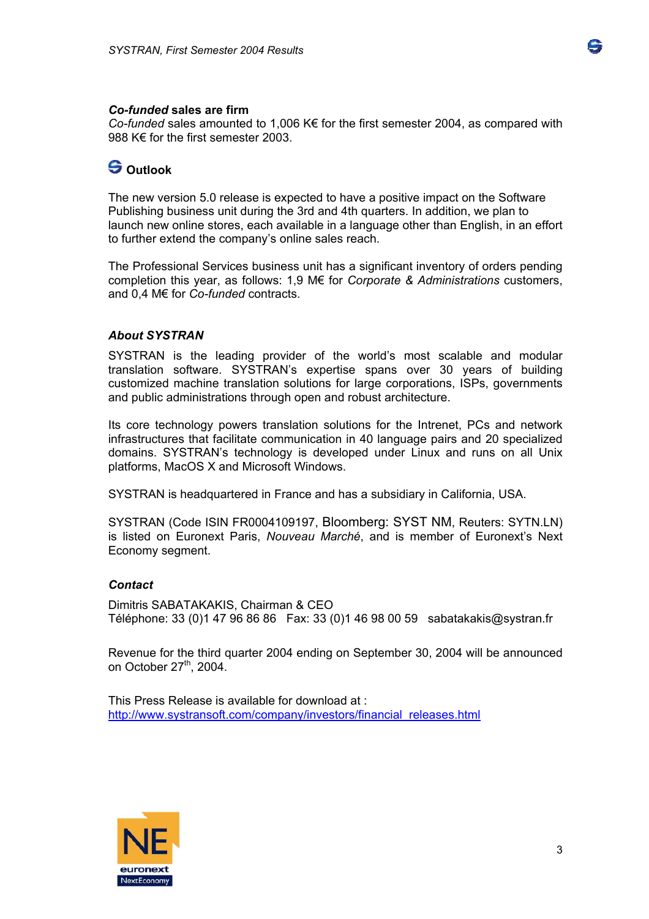

#### *Co-funded* **sales are firm**

*Co-funded* sales amounted to 1,006 K€ for the first semester 2004, as compared with 988 K€ for the first semester 2003.

### **Outlook**

The new version 5.0 release is expected to have a positive impact on the Software Publishing business unit during the 3rd and 4th quarters. In addition, we plan to launch new online stores, each available in a language other than English, in an effort to further extend the company's online sales reach.

The Professional Services business unit has a significant inventory of orders pending completion this year, as follows: 1,9 M€ for *Corporate & Administrations* customers, and 0,4 M€ for *Co-funded* contracts.

#### *About SYSTRAN*

SYSTRAN is the leading provider of the world's most scalable and modular translation software. SYSTRAN's expertise spans over 30 years of building customized machine translation solutions for large corporations, ISPs, governments and public administrations through open and robust architecture.

Its core technology powers translation solutions for the Intrenet, PCs and network infrastructures that facilitate communication in 40 language pairs and 20 specialized domains. SYSTRAN's technology is developed under Linux and runs on all Unix platforms, MacOS X and Microsoft Windows.

SYSTRAN is headquartered in France and has a subsidiary in California, USA.

SYSTRAN (Code ISIN FR0004109197, Bloomberg: SYST NM, Reuters: SYTN.LN) is listed on Euronext Paris, *Nouveau Marché*, and is member of Euronext's Next Economy segment.

#### *Contact*

Dimitris SABATAKAKIS, Chairman & CEO Téléphone: 33 (0)1 47 96 86 86 Fax: 33 (0)1 46 98 00 59 sabatakakis@systran.fr

Revenue for the third quarter 2004 ending on September 30, 2004 will be announced on October 27<sup>th</sup>, 2004.

This Press Release is available for download at : [http://www.systransoft.com/company/investors/financial\\_releases.html](http://www.systransoft.com/company/investors/financial_releases.html)